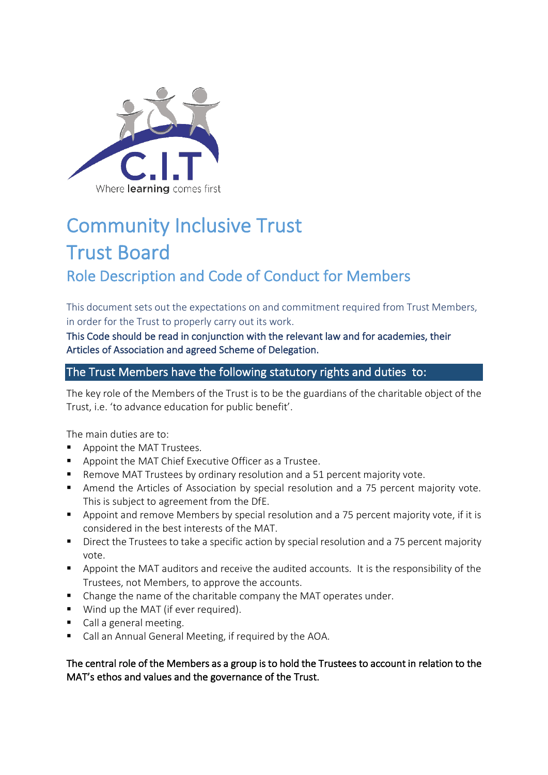

## Community Inclusive Trust Trust Board

## Role Description and Code of Conduct for Members

This document sets out the expectations on and commitment required from Trust Members, in order for the Trust to properly carry out its work.

This Code should be read in conjunction with the relevant law and for academies, their Articles of Association and agreed Scheme of Delegation.

### The Trust Members have the following statutory rights and duties to:

The key role of the Members of the Trust is to be the guardians of the charitable object of the Trust, i.e. 'to advance education for public benefit'.

The main duties are to:

- Appoint the MAT Trustees.
- Appoint the MAT Chief Executive Officer as a Trustee.
- Remove MAT Trustees by ordinary resolution and a 51 percent majority vote.
- Amend the Articles of Association by special resolution and a 75 percent majority vote. This is subject to agreement from the DfE.
- Appoint and remove Members by special resolution and a 75 percent majority vote, if it is considered in the best interests of the MAT.
- Direct the Trustees to take a specific action by special resolution and a 75 percent majority vote.
- Appoint the MAT auditors and receive the audited accounts. It is the responsibility of the Trustees, not Members, to approve the accounts.
- Change the name of the charitable company the MAT operates under.
- Wind up the MAT (if ever required).
- Call a general meeting.
- Call an Annual General Meeting, if required by the AOA.

The central role of the Members as a group is to hold the Trustees to account in relation to the MAT's ethos and values and the governance of the Trust.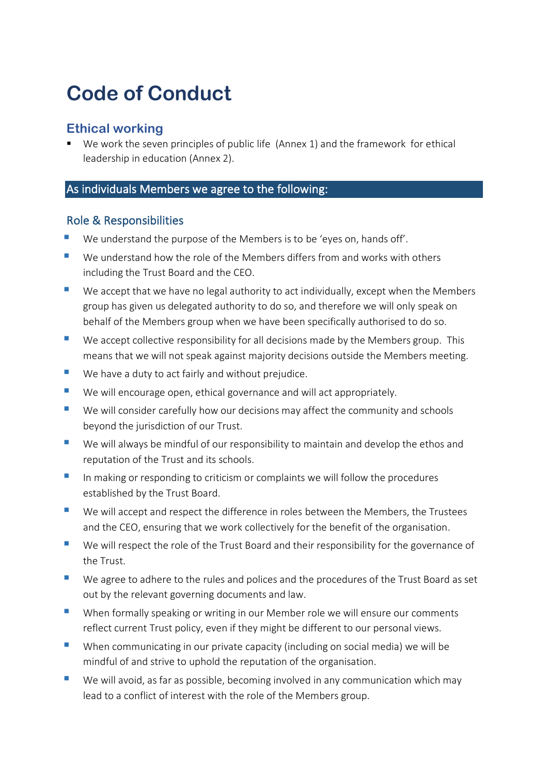# **Code of Conduct**

## **Ethical working**

We work the seven principles of public life (Annex 1) and the framework for ethical leadership in education (Annex 2).

## As individuals Members we agree to the following:

### Role & Responsibilities

- We understand the purpose of the Members is to be 'eyes on, hands off'.
- We understand how the role of the Members differs from and works with others including the Trust Board and the CEO.
- $\blacksquare$  We accept that we have no legal authority to act individually, except when the Members group has given us delegated authority to do so, and therefore we will only speak on behalf of the Members group when we have been specifically authorised to do so.
- $\blacksquare$  We accept collective responsibility for all decisions made by the Members group. This means that we will not speak against majority decisions outside the Members meeting.
- We have a duty to act fairly and without prejudice.
- We will encourage open, ethical governance and will act appropriately.
- We will consider carefully how our decisions may affect the community and schools beyond the jurisdiction of our Trust.
- We will always be mindful of our responsibility to maintain and develop the ethos and reputation of the Trust and its schools.
- In making or responding to criticism or complaints we will follow the procedures established by the Trust Board.
- We will accept and respect the difference in roles between the Members, the Trustees and the CEO, ensuring that we work collectively for the benefit of the organisation.
- We will respect the role of the Trust Board and their responsibility for the governance of the Trust.
- We agree to adhere to the rules and polices and the procedures of the Trust Board as set out by the relevant governing documents and law.
- When formally speaking or writing in our Member role we will ensure our comments reflect current Trust policy, even if they might be different to our personal views.
- When communicating in our private capacity (including on social media) we will be mindful of and strive to uphold the reputation of the organisation.
- $\blacksquare$  We will avoid, as far as possible, becoming involved in any communication which may lead to a conflict of interest with the role of the Members group.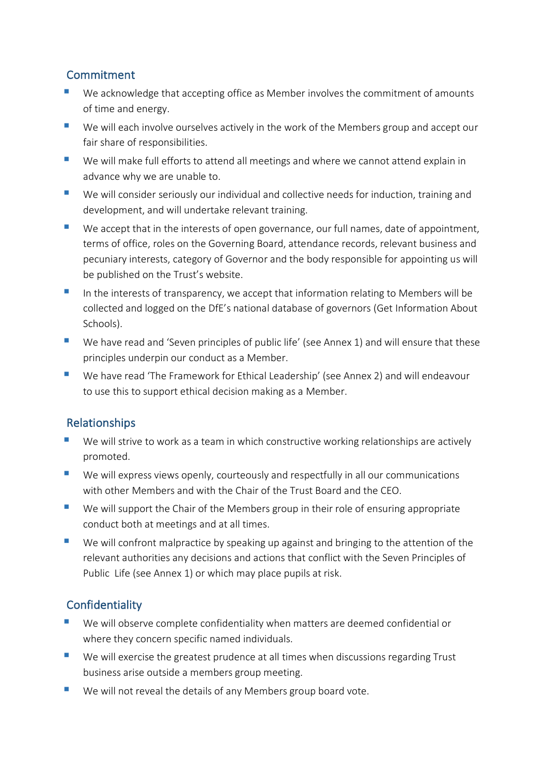## Commitment

- We acknowledge that accepting office as Member involves the commitment of amounts of time and energy.
- We will each involve ourselves actively in the work of the Members group and accept our fair share of responsibilities.
- We will make full efforts to attend all meetings and where we cannot attend explain in advance why we are unable to.
- We will consider seriously our individual and collective needs for induction, training and development, and will undertake relevant training.
- We accept that in the interests of open governance, our full names, date of appointment, terms of office, roles on the Governing Board, attendance records, relevant business and pecuniary interests, category of Governor and the body responsible for appointing us will be published on the Trust's website.
- In the interests of transparency, we accept that information relating to Members will be collected and logged on the DfE's national database of governors (Get Information About Schools).
- We have read and 'Seven principles of public life' (see Annex 1) and will ensure that these principles underpin our conduct as a Member.
- We have read 'The Framework for Ethical Leadership' (see Annex 2) and will endeavour to use this to support ethical decision making as a Member.

## Relationships

- We will strive to work as a team in which constructive working relationships are actively promoted.
- We will express views openly, courteously and respectfully in all our communications with other Members and with the Chair of the Trust Board and the CEO.
- We will support the Chair of the Members group in their role of ensuring appropriate conduct both at meetings and at all times.
- We will confront malpractice by speaking up against and bringing to the attention of the relevant authorities any decisions and actions that conflict with the Seven Principles of Public Life (see Annex 1) or which may place pupils at risk.

## **Confidentiality**

- We will observe complete confidentiality when matters are deemed confidential or where they concern specific named individuals.
- We will exercise the greatest prudence at all times when discussions regarding Trust business arise outside a members group meeting.
- $\blacksquare$  We will not reveal the details of any Members group board vote.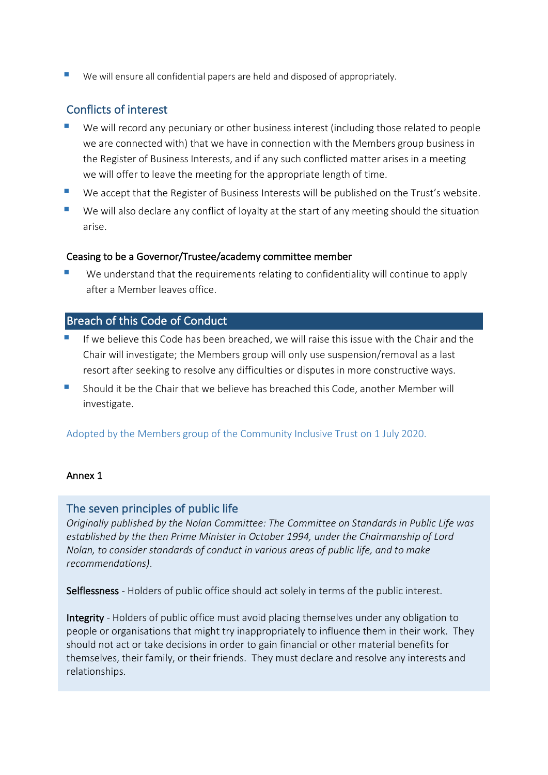$\blacksquare$  We will ensure all confidential papers are held and disposed of appropriately.

## Conflicts of interest

- We will record any pecuniary or other business interest (including those related to people we are connected with) that we have in connection with the Members group business in the Register of Business Interests, and if any such conflicted matter arises in a meeting we will offer to leave the meeting for the appropriate length of time.
- We accept that the Register of Business Interests will be published on the Trust's website.
- We will also declare any conflict of loyalty at the start of any meeting should the situation arise.

#### Ceasing to be a Governor/Trustee/academy committee member

We understand that the requirements relating to confidentiality will continue to apply after a Member leaves office.

## Breach of this Code of Conduct

- If we believe this Code has been breached, we will raise this issue with the Chair and the Chair will investigate; the Members group will only use suspension/removal as a last resort after seeking to resolve any difficulties or disputes in more constructive ways.
- § Should it be the Chair that we believe has breached this Code, another Member will investigate.

Adopted by the Members group of the Community Inclusive Trust on 1 July 2020.

#### Annex 1

#### The seven principles of public life

*Originally published by the Nolan Committee: The Committee on Standards in Public Life was established by the then Prime Minister in October 1994, under the Chairmanship of Lord Nolan, to consider standards of conduct in various areas of public life, and to make recommendations)*.

Selflessness - Holders of public office should act solely in terms of the public interest.

Integrity - Holders of public office must avoid placing themselves under any obligation to people or organisations that might try inappropriately to influence them in their work. They should not act or take decisions in order to gain financial or other material benefits for themselves, their family, or their friends. They must declare and resolve any interests and relationships.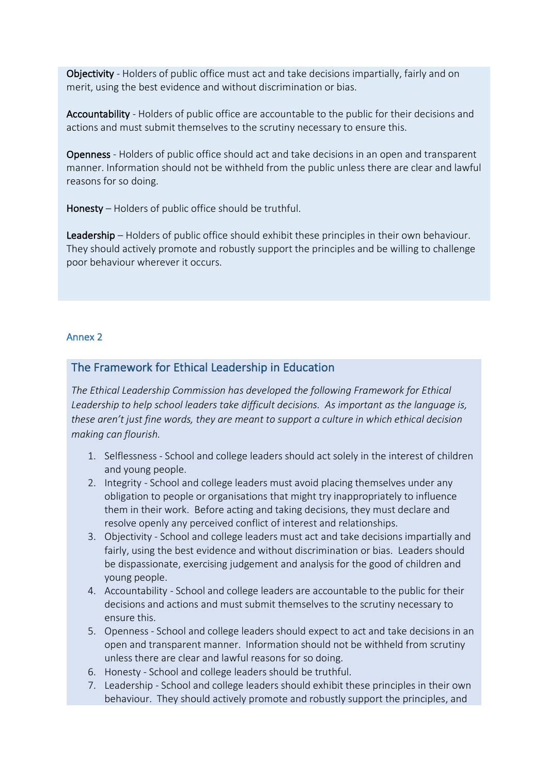Objectivity - Holders of public office must act and take decisions impartially, fairly and on merit, using the best evidence and without discrimination or bias.

Accountability - Holders of public office are accountable to the public for their decisions and actions and must submit themselves to the scrutiny necessary to ensure this.

Openness - Holders of public office should act and take decisions in an open and transparent manner. Information should not be withheld from the public unless there are clear and lawful reasons for so doing.

Honesty – Holders of public office should be truthful.

Leadership – Holders of public office should exhibit these principles in their own behaviour. They should actively promote and robustly support the principles and be willing to challenge poor behaviour wherever it occurs.

#### Annex 2

#### The Framework for Ethical Leadership in Education

*The Ethical Leadership Commission has developed the following Framework for Ethical Leadership to help school leaders take difficult decisions. As important as the language is, these aren't just fine words, they are meant to support a culture in which ethical decision making can flourish.* 

- 1. Selflessness School and college leaders should act solely in the interest of children and young people.
- 2. Integrity School and college leaders must avoid placing themselves under any obligation to people or organisations that might try inappropriately to influence them in their work. Before acting and taking decisions, they must declare and resolve openly any perceived conflict of interest and relationships.
- 3. Objectivity School and college leaders must act and take decisions impartially and fairly, using the best evidence and without discrimination or bias. Leaders should be dispassionate, exercising judgement and analysis for the good of children and young people.
- 4. Accountability School and college leaders are accountable to the public for their decisions and actions and must submit themselves to the scrutiny necessary to ensure this.
- 5. Openness School and college leaders should expect to act and take decisions in an open and transparent manner. Information should not be withheld from scrutiny unless there are clear and lawful reasons for so doing.
- 6. Honesty School and college leaders should be truthful.
- 7. Leadership School and college leaders should exhibit these principles in their own behaviour. They should actively promote and robustly support the principles, and